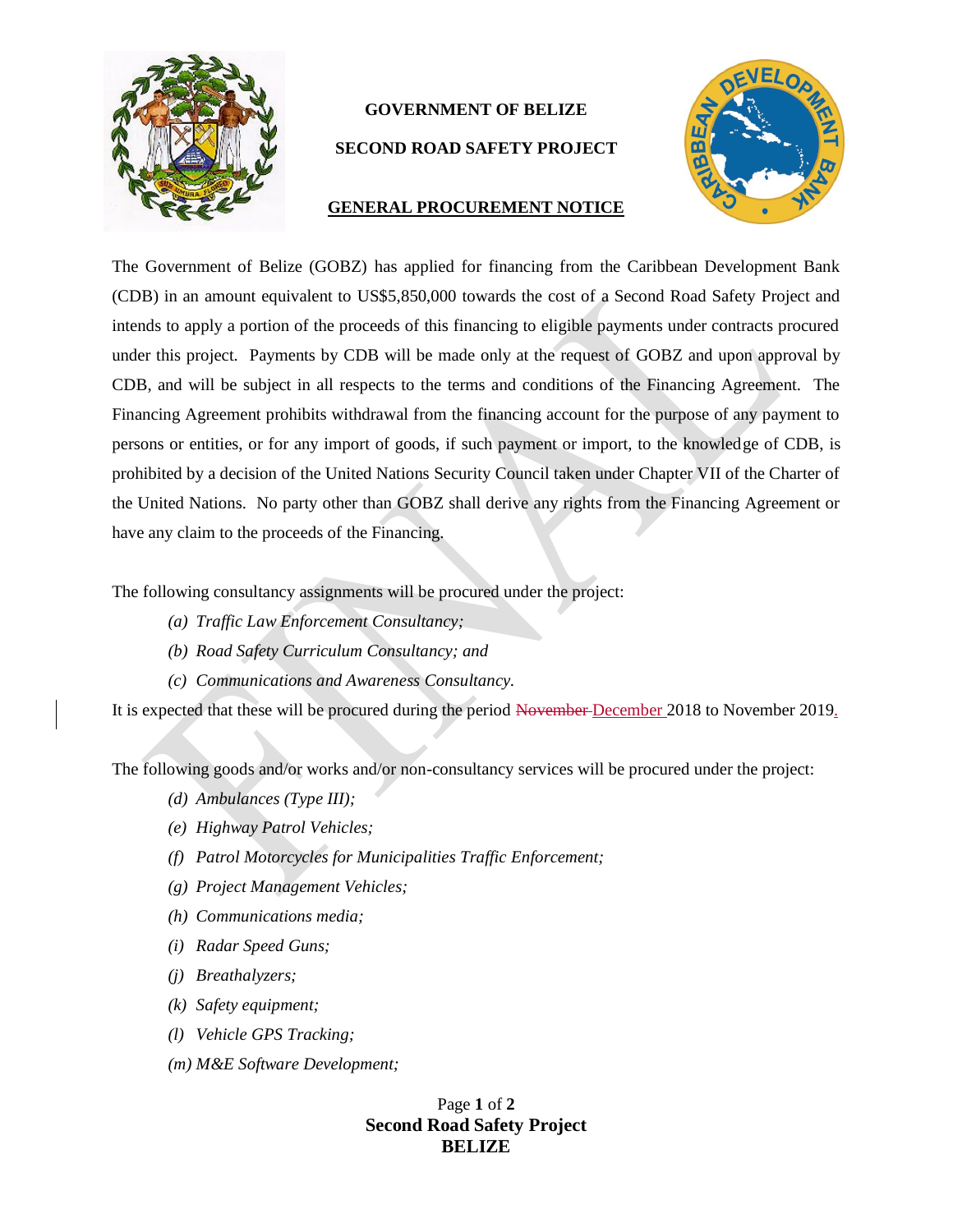

## **GOVERNMENT OF BELIZE**

## **SECOND ROAD SAFETY PROJECT**



## **GENERAL PROCUREMENT NOTICE**

The Government of Belize (GOBZ) has applied for financing from the Caribbean Development Bank (CDB) in an amount equivalent to US\$5,850,000 towards the cost of a Second Road Safety Project and intends to apply a portion of the proceeds of this financing to eligible payments under contracts procured under this project. Payments by CDB will be made only at the request of GOBZ and upon approval by CDB, and will be subject in all respects to the terms and conditions of the Financing Agreement. The Financing Agreement prohibits withdrawal from the financing account for the purpose of any payment to persons or entities, or for any import of goods, if such payment or import, to the knowledge of CDB, is prohibited by a decision of the United Nations Security Council taken under Chapter VII of the Charter of the United Nations. No party other than GOBZ shall derive any rights from the Financing Agreement or have any claim to the proceeds of the Financing.

The following consultancy assignments will be procured under the project:

- *(a) Traffic Law Enforcement Consultancy;*
- *(b) Road Safety Curriculum Consultancy; and*
- *(c) Communications and Awareness Consultancy.*

It is expected that these will be procured during the period November December 2018 to November 2019.

The following goods and/or works and/or non-consultancy services will be procured under the project:

- *(d) Ambulances (Type III);*
- *(e) Highway Patrol Vehicles;*
- *(f) Patrol Motorcycles for Municipalities Traffic Enforcement;*
- *(g) Project Management Vehicles;*
- *(h) Communications media;*
- *(i) Radar Speed Guns;*
- *(j) Breathalyzers;*
- *(k) Safety equipment;*
- *(l) Vehicle GPS Tracking;*
- *(m) M&E Software Development;*

Page **1** of **2 Second Road Safety Project BELIZE**